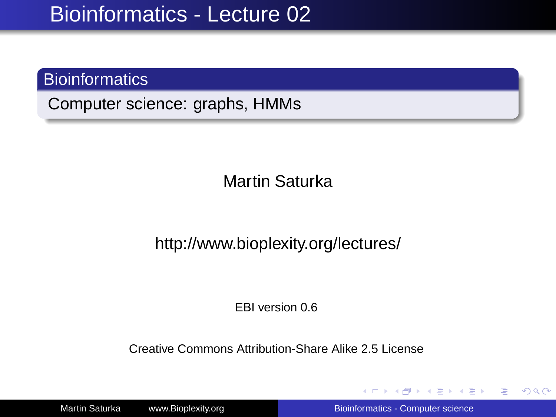### **Bioinformatics**

Computer science: graphs, HMMs

Martin Saturka

http://www.bioplexity.org/lectures/

EBI version 0.6

Creative Commons Attribution-Share Alike 2.5 License

Martin Saturka www.Bioplexity.org [Bioinformatics - Computer science](#page-31-0)

イロト イ押 トイヨ トイヨ トー

<span id="page-0-0"></span>÷.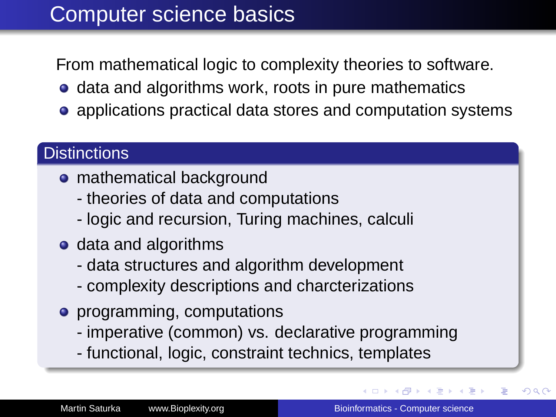## Computer science basics

From mathematical logic to complexity theories to software.

- **•** data and algorithms work, roots in pure mathematics
- applications practical data stores and computation systems

### **Distinctions**

- mathematical background
	- theories of data and computations
	- logic and recursion, Turing machines, calculi
- data and algorithms
	- data structures and algorithm development
	- complexity descriptions and charcterizations
- **•** programming, computations
	- imperative (common) vs. declarative programming
	- functional, logic, constraint technics, templates

 $\rightarrow$   $\rightarrow$   $\equiv$   $\rightarrow$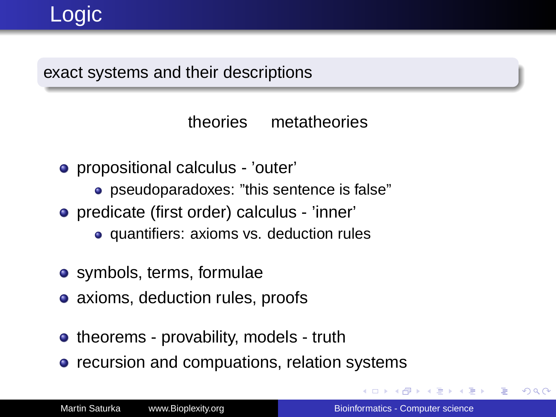# Logic

#### exact systems and their descriptions

theories metatheories

- propositional calculus 'outer'
	- pseudoparadoxes: "this sentence is false"
- predicate (first order) calculus 'inner'
	- quantifiers: axioms vs. deduction rules
- symbols, terms, formulae
- axioms, deduction rules, proofs
- theorems provability, models truth
- recursion and compuations, relation systems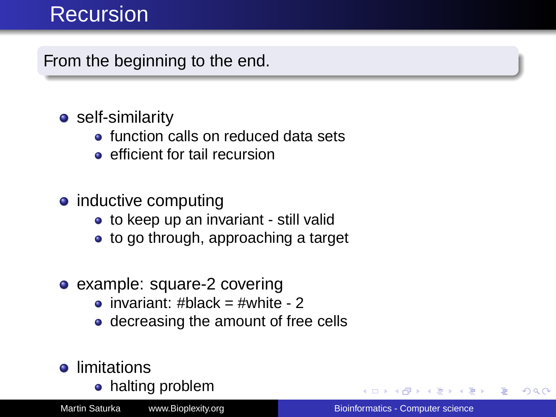## **Recursion**

From the beginning to the end.

### **•** self-similarity

- **o** function calls on reduced data sets
- **e** efficient for tail recursion
- inductive computing
	- to keep up an invariant still valid
	- to go through, approaching a target
- example: square-2 covering
	- $\bullet$  invariant: #black = #white 2
	- decreasing the amount of free cells
- **o** limitations
	- halting problem

Martin Saturka www.Bioplexity.org **Bionformatics - Computer science** [Bioinformatics - Computer science](#page-0-0)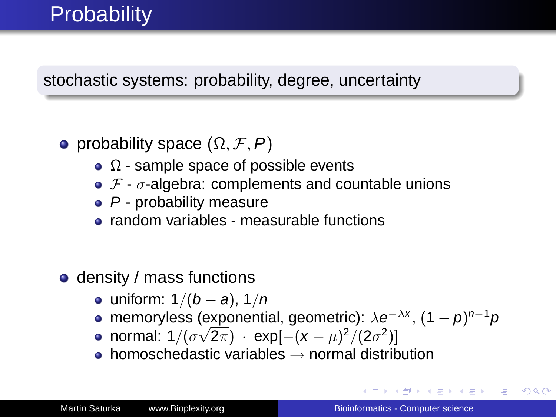## **Probability**

stochastic systems: probability, degree, uncertainty

- probability space  $(\Omega, \mathcal{F}, P)$ 
	- $\Omega$  sample space of possible events
	- $\bullet$  F  $\sigma$ -algebra: complements and countable unions
	- $\bullet$  P probability measure
	- random variables measurable functions
- **o** density / mass functions
	- uniform:  $1/(b a)$ ,  $1/n$
	- memoryless (exponential, geometric):  $\lambda e^{-\lambda x}$ ,  $(1 p)^{n-1}p$
	- normal: 1/( $\sigma\sqrt{2\pi}$ ) · exp[ $-(x-\mu)^2/(2\sigma^2)$ ]
	- $\bullet$  homoschedastic variables  $\rightarrow$  normal distribution

イロト イ団 トイヨ トイヨ トー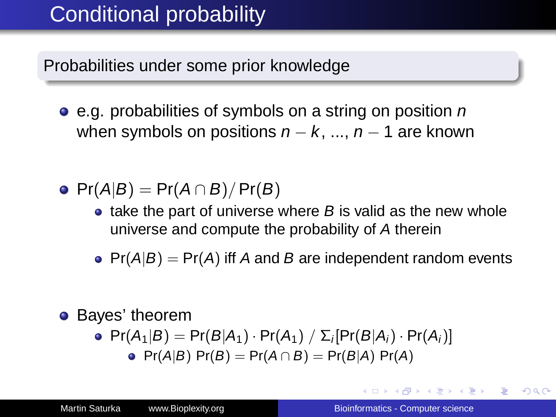## Conditional probability

Probabilities under some prior knowledge

- $\bullet$  e.g. probabilities of symbols on a string on position n when symbols on positions  $n - k$ , ...,  $n - 1$  are known
- $\bullet$  Pr(A|B) = Pr(A ∩ B)/Pr(B)
	- $\bullet$  take the part of universe where B is valid as the new whole universe and compute the probability of A therein
	- $Pr(A|B) = Pr(A)$  iff A and B are independent random events

### **•** Bayes' theorem

• 
$$
Pr(A_1|B) = Pr(B|A_1) \cdot Pr(A_1) / \sum_i [Pr(B|A_i) \cdot Pr(A_i)]
$$
  
•  $Pr(A|B) Pr(B) = Pr(A \cap B) = Pr(B|A) Pr(A)$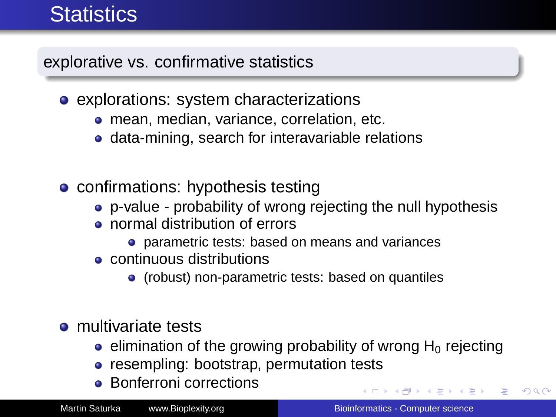## **Statistics**

explorative vs. confirmative statistics

- explorations: system characterizations
	- **•** mean, median, variance, correlation, etc.
	- data-mining, search for interavariable relations
- confirmations: hypothesis testing
	- p-value probability of wrong rejecting the null hypothesis
	- normal distribution of errors
		- parametric tests: based on means and variances
	- continuous distributions
		- (robust) non-parametric tests: based on quantiles
- $\bullet$  multivariate tests
	- e elimination of the growing probability of wrong  $H_0$  rejecting
	- resempling: bootstrap, permutation tests
	- **•** Bonferroni corrections

イロト イ押 トイヨ トイヨ トー

 $\equiv$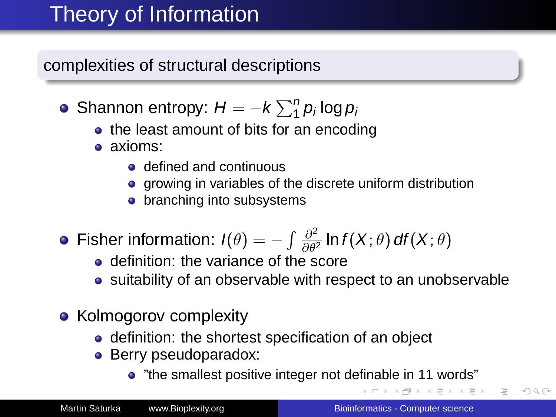# Theory of Information

complexities of structural descriptions

- Shannon entropy:  $H = -k \sum_{1}^{n} p_i \log p_i$ 
	- the least amount of bits for an encoding
	- axioms:
		- **e** defined and continuous
		- growing in variables of the discrete uniform distribution
		- branching into subsystems
- Fisher information:  $I(\theta) = -\int \frac{\partial^2}{\partial \theta^2}$  $\frac{\partial^2}{\partial \theta^2}$  In  $f(X; \theta)$  df $(X; \theta)$ 
	- **o** definition: the variance of the score
	- suitability of an observable with respect to an unobservable
- Kolmogorov complexity
	- definition: the shortest specification of an object
	- Berry pseudoparadox:
		- "the smallest positive integer not definable in 11 words"

K 何 ▶ K ヨ ▶ K ヨ ▶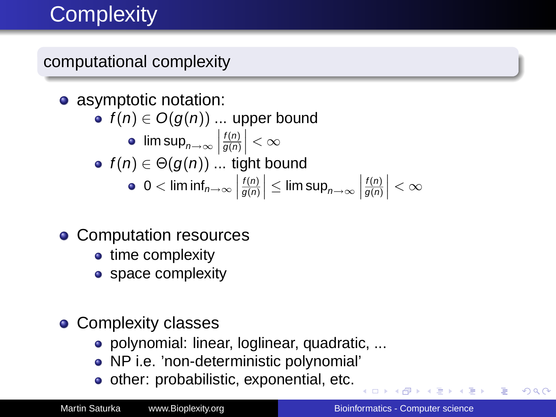# **Complexity**

### computational complexity

#### • asymptotic notation: •  $f(n) \in O(g(n))$  ... upper bound  $\limsup_{n\to\infty}\left|\frac{f(n)}{g(n)}\right|<\infty$  $f(n) \in \Theta(g(n))$  ... tight bound 0  $<$  lim inf $_{n\rightarrow\infty}$   $\Big|$  $\left| \frac{f(n)}{g(n)} \right| \leq \limsup_{n \to \infty} \left| \right|$  $\left|\frac{f(n)}{g(n)}\right| < \infty$

- Computation resources
	- time complexity
	- space complexity

### • Complexity classes

- polynomial: linear, loglinear, quadratic, ...
- NP i.e. 'non-deterministic polynomial'
- other: probabilistic, exponential, etc.

 $\mathcal{A} \xrightarrow{\sim} \mathcal{B} \xrightarrow{\sim} \mathcal{A} \xrightarrow{\sim} \mathcal{B} \xrightarrow{\sim} \mathcal{B}$ 

<span id="page-8-0"></span>÷.  $QQ$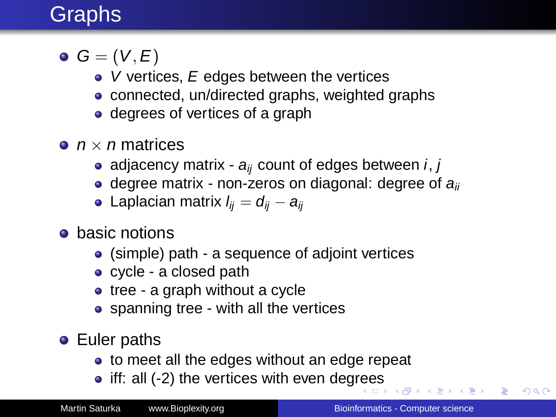# Graphs

- $\bullet$   $G = (V, E)$ 
	- $\bullet$  V vertices, E edges between the vertices
	- connected, un/directed graphs, weighted graphs
	- degrees of vertices of a graph
- $\bullet$   $n \times n$  matrices
	- adjacency matrix  $a_{ii}$  count of edges between i, j
	- $\bullet$  degree matrix non-zeros on diagonal: degree of  $a_{ii}$
	- Laplacian matrix  $l_{ii} = d_{ii} a_{ii}$
- **•** basic notions
	- (simple) path a sequence of adjoint vertices
	- cycle a closed path
	- tree a graph without a cycle
	- spanning tree with all the vertices
- **•** Euler paths
	- to meet all the edges without an edge repeat
	- $\bullet$  iff: all (-2) the vertices with even deg[ree](#page-8-0)[s](#page-10-0)

 $\mathbb{R}^d \times \mathbb{R}^d \to \mathbb{R}^d$ 

B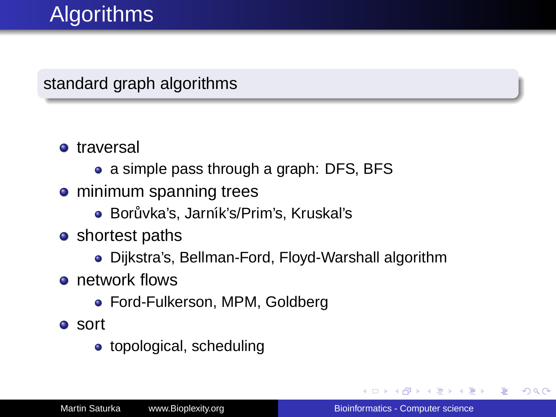# **Algorithms**

### standard graph algorithms

#### **o** traversal

- a simple pass through a graph: DFS, BFS
- **o** minimum spanning trees
	- Borůvka's, Jarník's/Prim's, Kruskal's
- shortest paths
	- Dijkstra's, Bellman-Ford, Floyd-Warshall algorithm
- **o** network flows
	- Ford-Fulkerson, MPM, Goldberg
- sort
	- topological, scheduling

→ 重 → → 重 → …

<span id="page-10-0"></span>÷.  $QQ$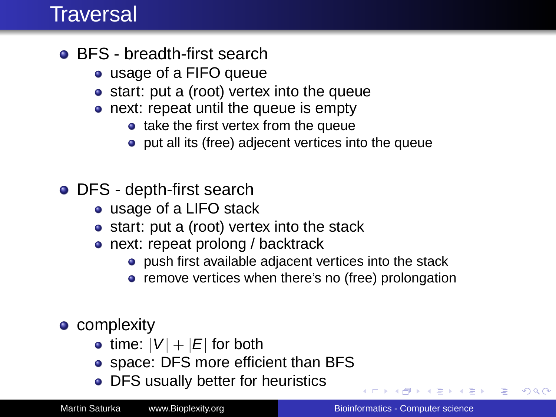### **Traversal**

- **BFS** breadth-first search
	- usage of a FIFO queue
	- start: put a (root) vertex into the queue
	- next: repeat until the queue is empty
		- $\bullet$  take the first vertex from the queue
		- put all its (free) adjecent vertices into the queue
- DFS depth-first search
	- usage of a LIFO stack
	- start: put a (root) vertex into the stack
	- next: repeat prolong / backtrack
		- push first available adjacent vertices into the stack
		- remove vertices when there's no (free) prolongation
- complexity
	- time:  $|V| + |E|$  for both
	- space: DFS more efficient than BFS
	- DFS usually better for heuristics

 $\left\{ \left\vert \left\{ \mathbf{P}\right\} \right\vert \times \left\{ \left\vert \mathbf{P}\right\vert \right\} \right\}$  and  $\left\{ \left\vert \mathbf{P}\right\vert \right\}$ 

<span id="page-11-0"></span>÷.  $QQ$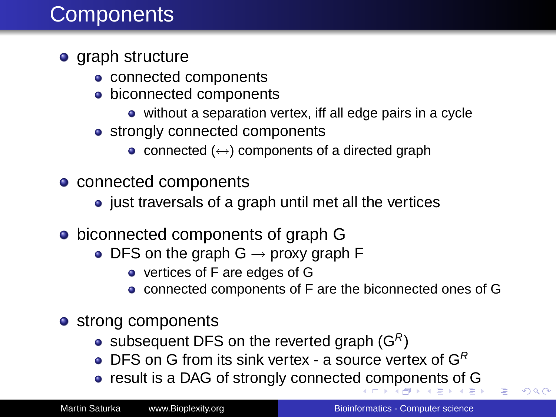## **Components**

### **o** graph structure

- connected components
- **·** biconnected components
	- without a separation vertex, iff all edge pairs in a cycle
- strongly connected components
	- connected  $(\leftrightarrow)$  components of a directed graph
- connected components
	- just traversals of a graph until met all the vertices
- biconnected components of graph G
	- DFS on the graph  $G \rightarrow$  proxy graph F
		- vertices of F are edges of G
		- connected components of F are the biconnected ones of G
- strong components
	- subsequent DFS on the reverted graph  $(G<sup>R</sup>)$
	- DFS on G from its sink vertex a source vertex of  $G^R$
	- result is a DAG of strongly connecte[d c](#page-11-0)[om](#page-13-0)[p](#page-11-0)[o](#page-12-0)[n](#page-13-0)[ent](#page-0-0)[s](#page-31-0) [of](#page-0-0) [G](#page-31-0)

<span id="page-12-0"></span> $\Omega$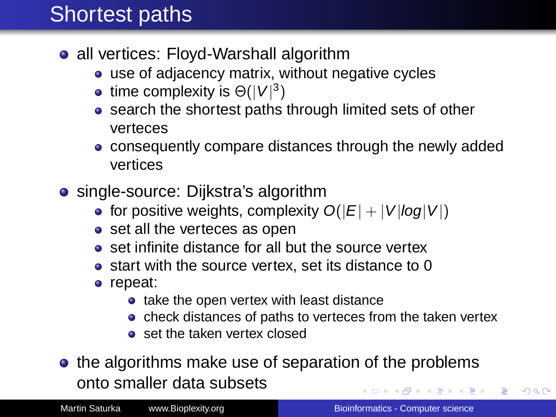## **Shortest paths**

- all vertices: Floyd-Warshall algorithm
	- use of adjacency matrix, without negative cycles
	- time complexity is  $\Theta(|V|^3)$
	- search the shortest paths through limited sets of other verteces
	- consequently compare distances through the newly added vertices
- single-source: Dijkstra's algorithm
	- for positive weights, complexity  $O(|E| + |V|log|V|)$
	- set all the verteces as open
	- set infinite distance for all but the source vertex
	- start with the source vertex, set its distance to 0
	- repeat:
		- take the open vertex with least distance
		- check distances of paths to verteces from the taken vertex
		- set the taken vertex closed
- the algorithms make use of separation of the problems onto smaller data subsets イロト 不優 トイモト 不思 トー

<span id="page-13-0"></span>÷.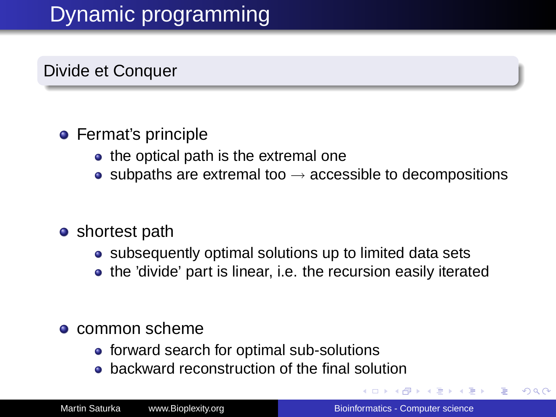# Dynamic programming

Divide et Conquer

### **•** Fermat's principle

- the optical path is the extremal one
- subpaths are extremal too  $\rightarrow$  accessible to decompositions

#### • shortest path

- subsequently optimal solutions up to limited data sets
- the 'divide' part is linear, i.e. the recursion easily iterated

#### **•** common scheme

- **•** forward search for optimal sub-solutions
- **•** backward reconstruction of the final solution

<span id="page-14-0"></span>重き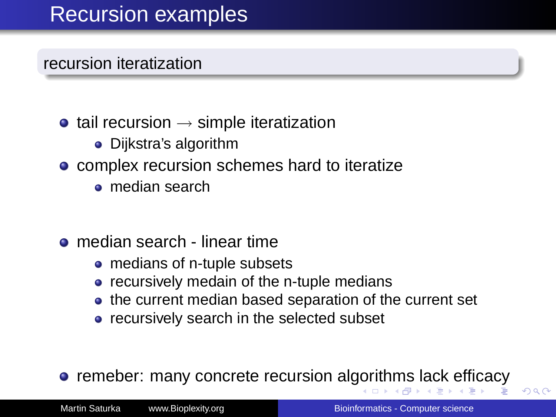## Recursion examples

#### recursion iteratization

- $\bullet$  tail recursion  $\rightarrow$  simple iteratization
	- Dijkstra's algorithm
- complex recursion schemes hard to iteratize
	- median search
- median search linear time
	- medians of n-tuple subsets
	- recursively medain of the n-tuple medians
	- the current median based separation of the current set
	- **•** recursively search in the selected subset

**•** remeber: many concrete recursion al[gor](#page-14-0)i[th](#page-16-0)[m](#page-14-0)[s](#page-15-0) [l](#page-16-0)[ac](#page-0-0)[k](#page-31-0) [effi](#page-0-0)[c](#page-31-0)ac[y](#page-31-0)

<span id="page-15-0"></span> $\Omega$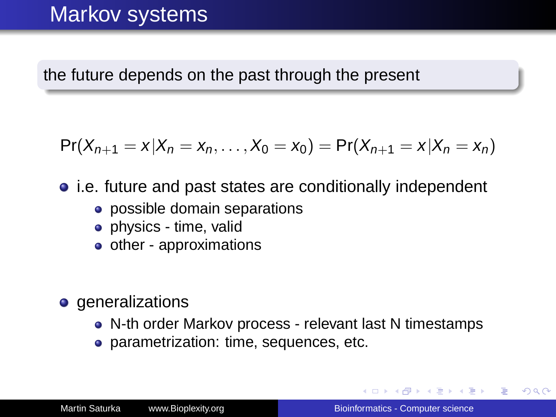## Markov systems

the future depends on the past through the present

$$
Pr(X_{n+1} = x | X_n = x_n, \ldots, X_0 = x_0) = Pr(X_{n+1} = x | X_n = x_n)
$$

• i.e. future and past states are conditionally independent

- possible domain separations
- physics time, valid
- $\bullet$  other approximations
- **o** generalizations
	- N-th order Markov process relevant last N timestamps
	- **parametrization: time, sequences, etc.**

<span id="page-16-0"></span>K 何 ▶ K ヨ ▶ K ヨ ▶ ..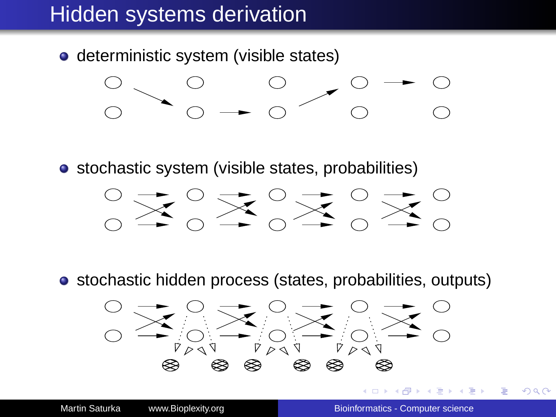## Hidden systems derivation

**o** deterministic system (visible states)



• stochastic system (visible states, probabilities)



• stochastic hidden process (states, probabilities, outputs)

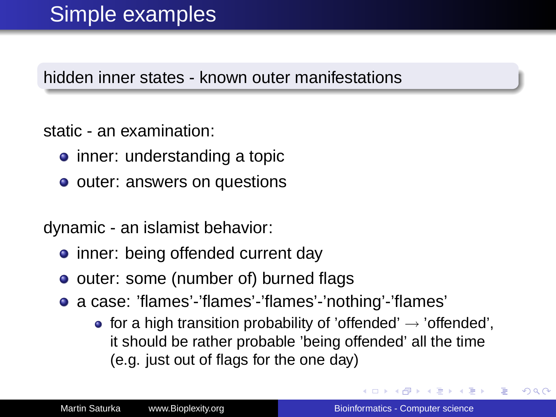hidden inner states - known outer manifestations

static - an examination:

- inner: understanding a topic
- outer: answers on questions

dynamic - an islamist behavior:

- inner: being offended current day
- outer: some (number of) burned flags
- a case: 'flames'-'flames'-'flames'-'nothing'-'flames'
	- for a high transition probability of 'offended'  $\rightarrow$  'offended', it should be rather probable 'being offended' all the time (e.g. just out of flags for the one day)

K 何 ▶ K ヨ ▶ K ヨ ▶ ..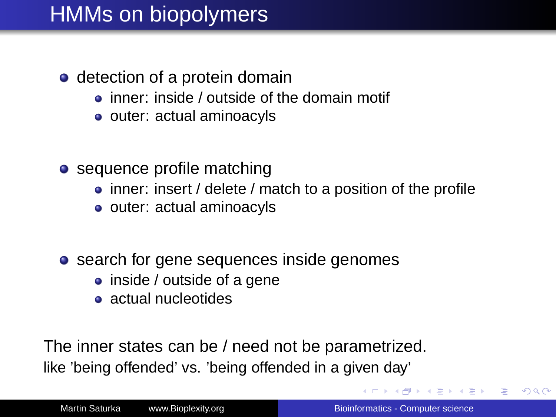## HMMs on biopolymers

- detection of a protein domain
	- inner: inside / outside of the domain motif
	- outer: actual aminoacyls
- sequence profile matching
	- inner: insert / delete / match to a position of the profile
	- outer: actual aminoacyls
- search for gene sequences inside genomes
	- inside / outside of a gene
	- actual nucleotides

The inner states can be / need not be parametrized. like 'being offended' vs. 'being offended in a given day'

イロメ 不優 トイヨメ イヨメー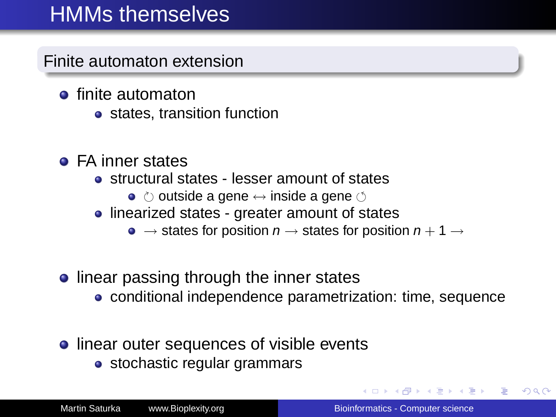## HMMs themselves

Finite automaton extension

- **e** finite automaton
	- states, transition function
- FA inner states
	- structural states lesser amount of states
		- $\bullet$   $\circlearrowright$  outside a gene  $\leftrightarrow$  inside a gene  $\circlearrowleft$
	- linearized states greater amount of states
		- $\bullet \rightarrow$  states for position  $n \rightarrow$  states for position  $n + 1 \rightarrow$
- **.** linear passing through the inner states
	- conditional independence parametrization: time, sequence
- **•** linear outer sequences of visible events
	- stochastic regular grammars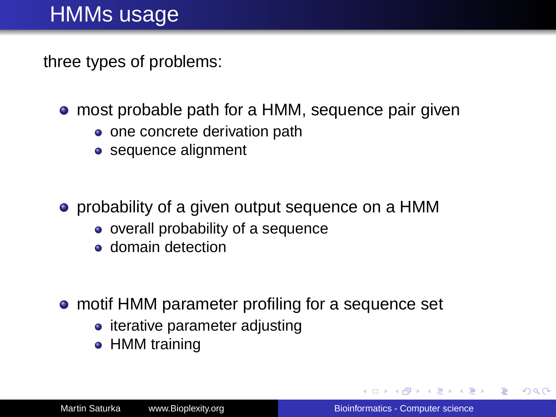## HMMs usage

three types of problems:

- **•** most probable path for a HMM, sequence pair given
	- one concrete derivation path
	- sequence alignment

• probability of a given output sequence on a HMM

- overall probability of a sequence
- **o** domain detection
- motif HMM parameter profiling for a sequence set
	- iterative parameter adjusting
	- HMM training

イロト イ押 トイヨ トイヨ トー

÷.  $QQ$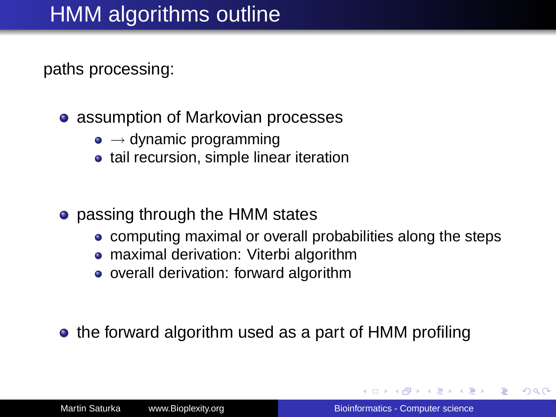paths processing:

- assumption of Markovian processes
	- $\bullet \rightarrow$  dynamic programming
	- tail recursion, simple linear iteration
- passing through the HMM states
	- computing maximal or overall probabilities along the steps
	- maximal derivation: Viterbi algorithm
	- overall derivation: forward algorithm
- the forward algorithm used as a part of HMM profiling

つへへ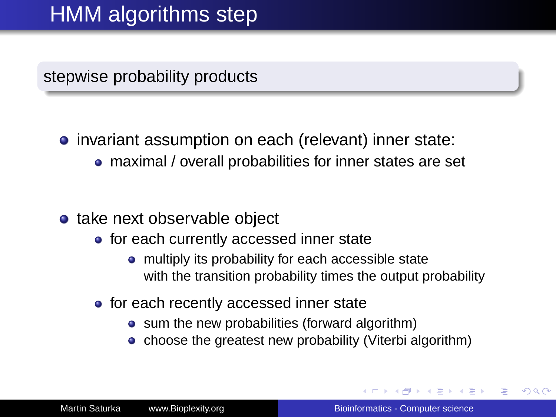## HMM algorithms step

stepwise probability products

• invariant assumption on each (relevant) inner state:

- maximal / overall probabilities for inner states are set
- take next observable object
	- **•** for each currently accessed inner state
		- multiply its probability for each accessible state with the transition probability times the output probability
	- for each recently accessed inner state
		- sum the new probabilities (forward algorithm)
		- choose the greatest new probability (Viterbi algorithm)

 $\Omega$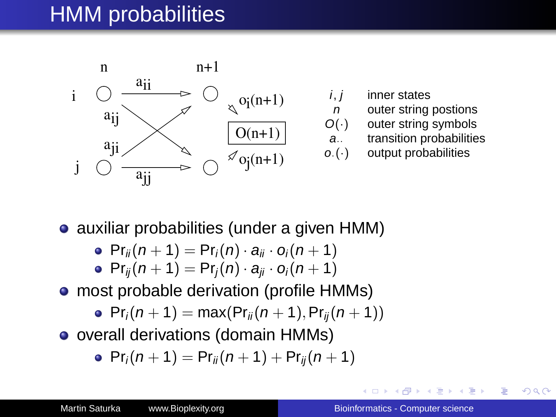## HMM probabilities



- $i, j$  inner states
- $n$  outer string postions<br> $O(·)$  outer string symbols
	- outer string symbols
- a.. transition probabilities
- $o.(\cdot)$  output probabilities

• auxiliar probabilities (under a given HMM)

- $Pr_{ii}(n + 1) = Pr_i(n) \cdot a_{ii} \cdot o_i(n + 1)$
- $Pr_{ii}(n + 1) = Pr_i(n) \cdot a_{ii} \cdot o_i(n + 1)$
- most probable derivation (profile HMMs)
	- $Pr_i(n + 1) = max(Pr_{ii}(n + 1), Pr_{ii}(n + 1))$
- overall derivations (domain HMMs)

$$
\bullet \ \Pr_i(n+1) = \Pr_{ii}(n+1) + \Pr_{ij}(n+1)
$$

 $290$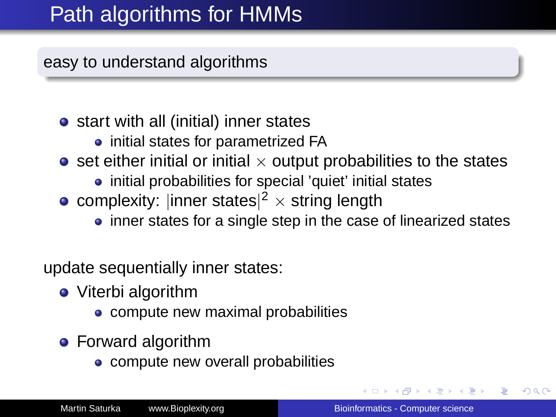## Path algorithms for HMMs

easy to understand algorithms

- start with all (initial) inner states
	- initial states for parametrized FA
- $\bullet$  set either initial or initial  $\times$  output probabilities to the states
	- initial probabilities for special 'quiet' initial states
- complexity: |inner states $|^2 \times$  string length
	- inner states for a single step in the case of linearized states

update sequentially inner states:

- Viterbi algorithm
	- compute new maximal probabilities
- **•** Forward algorithm
	- compute new overall probabilities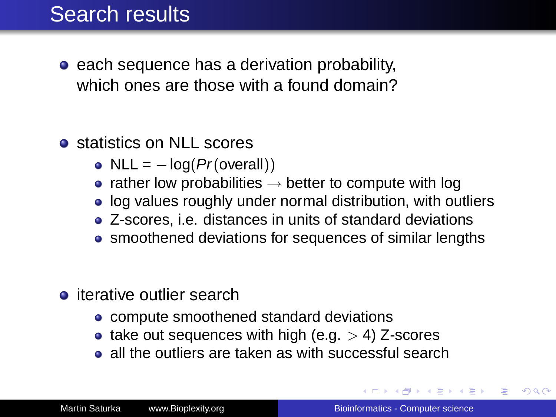## Search results

- $\bullet$  each sequence has a derivation probability, which ones are those with a found domain?
- **o** statistics on NLL scores
	- NLL =  $-\log(Pr(\text{overall}))$
	- rather low probabilities  $\rightarrow$  better to compute with log
	- log values roughly under normal distribution, with outliers
	- Z-scores, i.e. distances in units of standard deviations
	- smoothened deviations for sequences of similar lengths
- **o** iterative outlier search
	- compute smoothened standard deviations
	- take out sequences with high (e.g.  $>$  4) Z-scores
	- all the outliers are taken as with successful search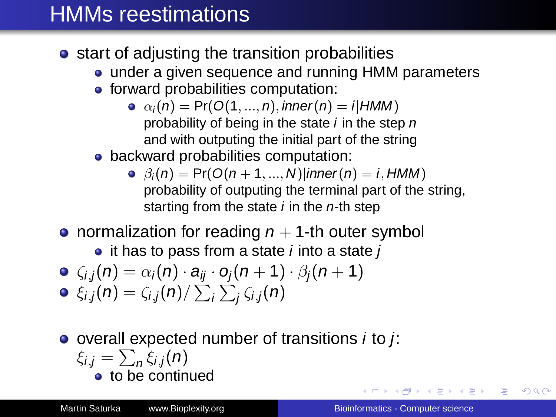## HMMs reestimations

- **•** start of adjusting the transition probabilities
	- under a given sequence and running HMM parameters
	- **•** forward probabilities computation:
		- $\alpha_i(n) = Pr(O(1, ..., n), inner(n) = i|HMM)$ probability of being in the state  $i$  in the step  $n$ and with outputing the initial part of the string
	- backward probabilities computation:
		- $\Theta$   $\beta_i(n)$  = Pr( $O(n+1,...,N)$ |inner(n) = i, HMM) probability of outputing the terminal part of the string, starting from the state  $i$  in the  $n$ -th step
- normalization for reading  $n + 1$ -th outer symbol

 $\bullet$  it has to pass from a state *i* into a state *j* 

$$
\bullet \ \ \zeta_{i,j}(n) = \alpha_i(n) \cdot a_{ij} \cdot o_j(n+1) \cdot \beta_j(n+1)
$$

$$
\bullet \ \xi_{i,j}(n) = \zeta_{i,j}(n) / \sum_i \sum_j \zeta_{i,j}(n)
$$

 $\bullet$  overall expected number of transitions *i* to *j*:  $\xi_{i,j} = \sum_{n} \xi_{i,j}(n)$ to be continued

イロト 不優 トメ 君 トメ 君 トッ

ă.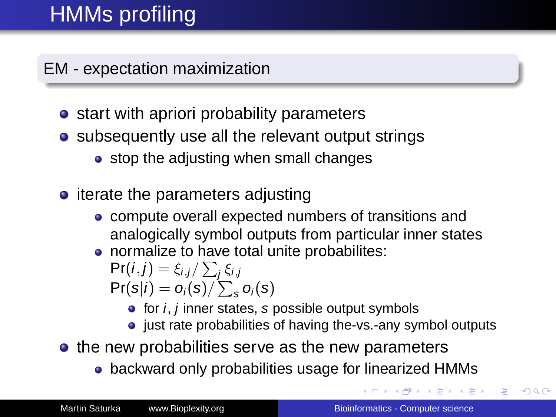# HMMs profiling

EM - expectation maximization

- start with apriori probability parameters
- subsequently use all the relevant output strings
	- stop the adjusting when small changes
- $\bullet$  iterate the parameters adjusting
	- compute overall expected numbers of transitions and analogically symbol outputs from particular inner states
	- normalize to have total unite probabilites:

$$
\Pr(i, j) = \xi_{i,j} / \sum_j \xi_{i,j}
$$
  

$$
\Pr(s|i) = o_i(s) / \sum_s o_i(s)
$$

- $\bullet$  for *i*, *j* inner states, *s* possible output symbols
- just rate probabilities of having the-vs.-any symbol outputs
- the new probabilities serve as the new parameters
	- backward only probabilities usage for linearized HMMs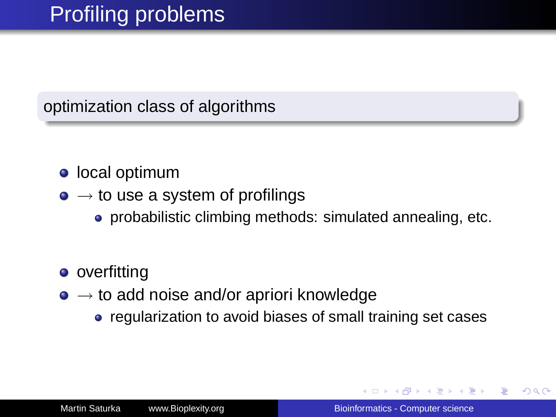optimization class of algorithms

### **·** local optimum

- $\bullet \rightarrow \bullet$  use a system of profilings
	- probabilistic climbing methods: simulated annealing, etc.
- overfitting
- $\bullet \rightarrow$  to add noise and/or apriori knowledge
	- regularization to avoid biases of small training set cases

K 何 ▶ K ヨ ▶ K ヨ ▶ ..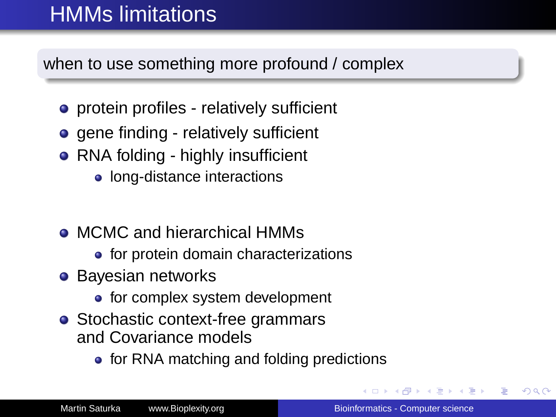# HMMs limitations

when to use something more profound / complex

- protein profiles relatively sufficient
- **o** gene finding relatively sufficient
- RNA folding highly insufficient
	- long-distance interactions
- MCMC and hierarchical HMMs
	- for protein domain characterizations
- **•** Bayesian networks
	- for complex system development
- Stochastic context-free grammars and Covariance models
	- for RNA matching and folding predictions

ぼう メモト